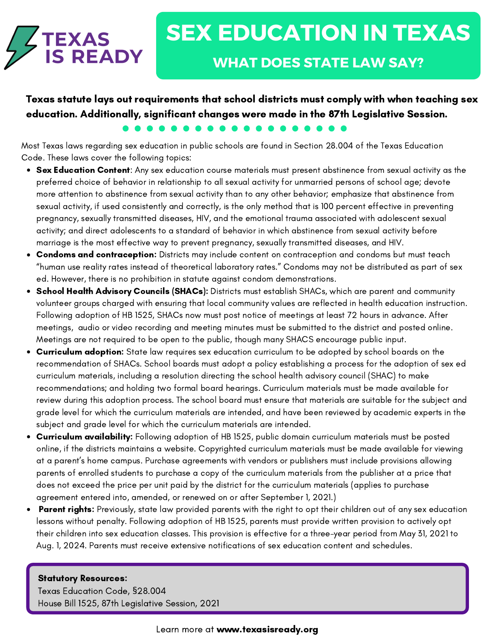

Texas statute lays out requirements that school districts must comply with when teaching sex education. Additionally, significant changes were made in the 87th Legislative Session.

Most Texas laws regarding sex education in public schools are found in Section 28.004 of the Texas Education Code. These laws cover the following topics:

- Sex Education Content: Any sex education course materials must present abstinence from sexual activity as the preferred choice of behavior in relationship to all sexual activity for unmarried persons of school age; devote more attention to abstinence from sexual activity than to any other behavior; emphasize that abstinence from sexual activity, if used consistently and correctly, is the only method that is 100 percent effective in preventing pregnancy, sexually transmitted diseases, HIV, and the emotional trauma associated with adolescent sexual activity; and direct adolescents to a standard of behavior in which abstinence from sexual activity before marriage is the most effective way to prevent pregnancy, sexually transmitted diseases, and HIV.
- Condoms and contraception: Districts may include content on contraception and condoms but must teach "human use reality rates instead of theoretical laboratory rates." Condoms may not be distributed as part of sex ed. However, there is no prohibition in statute against condom demonstrations.
- School Health Advisory Councils (SHACs): Districts must establish SHACs, which are parent and community volunteer groups charged with ensuring that local community values are reflected in health education instruction. Following adoption of HB 1525, SHACs now must post notice of meetings at least 72 hours in advance. After meetings, audio or video recording and meeting minutes must be submitted to the district and posted online. Meetings are not required to be open to the public, though many SHACS encourage public input.
- Curriculum adoption: State law requires sex education curriculum to be adopted by school boards on the recommendation of SHACs. School boards must adopt a policy establishing a process for the adoption of sex ed curriculum materials, including a resolution directing the school health advisory council (SHAC) to make recommendations; and holding two formal board hearings. Curriculum materials must be made available for review during this adoption process. The school board must ensure that materials are suitable for the subject and grade level for which the curriculum materials are intended, and have been reviewed by academic experts in the subject and grade level for which the curriculum materials are intended.
- Curriculum availability: Following adoption of HB 1525, public domain curriculum materials must be posted online, if the districts maintains a website. Copyrighted curriculum materials must be made available for viewing at a parent's home campus. Purchase agreements with vendors or publishers must include provisions allowing parents of enrolled students to purchase a copy of the curriculum materials from the publisher at a price that does not exceed the price per unit paid by the district for the curriculum materials (applies to purchase agreement entered into, amended, or renewed on or after September 1, 2021.)
- **Parent rights:** Previously, state law provided parents with the right to opt their children out of any sex education lessons without penalty. Following adoption of HB 1525, parents must provide written provision to actively opt their children into sex education classes. This provision is effective for a three-year period from May 31, 2021 to Aug. 1, 2024. Parents must receive extensive notifications of sex education content and schedules.

## Statutory Resources:

Texas Education Code, [§](https://periwigsquiggle.wordpress.com/about/)28.004 House Bill 1525, 87th Legislative Session, 2021